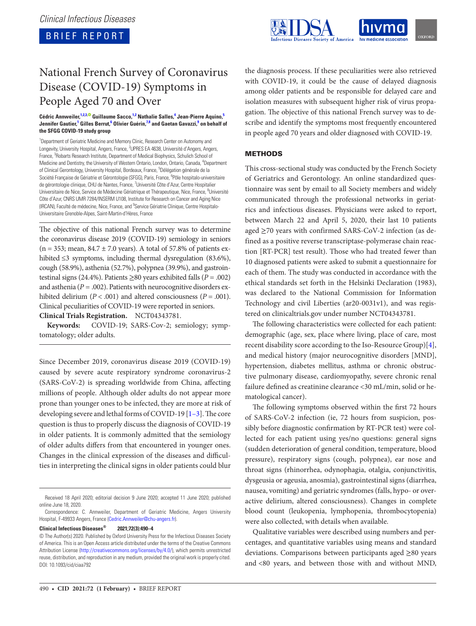BRIEF REPORT



# National French Survey of Coronavirus Disease (COVID-19) Symptoms in People Aged 70 and Over

#### **Cédric Annweiler[,1](#page-0-0)[,2,](#page-0-1)[3](#page-0-2)[, G](http://orcid.org/0000-0002-7199-8109)uillaume Sacco[,1](#page-0-0)[,2](#page-0-1) Nathalie Salles,[4](#page-0-3) Jean-Pierre Aquino[,5](#page-0-4) Jennifer Gautier,[1](#page-0-0) Gilles Berrut,[6](#page-0-5) Olivier Guérin,[7,](#page-0-6)[8](#page-0-7) and Gaetan Gavazzi[,9](#page-0-8) on behalf of the SFGG COVID-19 study group**

<span id="page-0-6"></span><span id="page-0-5"></span><span id="page-0-4"></span><span id="page-0-3"></span><span id="page-0-2"></span><span id="page-0-1"></span><span id="page-0-0"></span><sup>1</sup>Department of Geriatric Medicine and Memory Clinic, Research Center on Autonomy and Longevity, University Hospital, Angers, France, <sup>2</sup>UPRES EA 4638, Université d'Angers, Angers, France, <sup>3</sup>Robarts Research Institute, Department of Medical Biophysics, Schulich School of Medicine and Dentistry, the University of Western Ontario, London, Ontario, Canada, <sup>4</sup>Department of Clinical Gerontology, University Hospital, Bordeaux, France, <sup>5</sup>Délégation générale de la Société Française de Gériatrie et Gérontologie (SFGG), Paris, France, <sup>6</sup>Pôle hospitalo-universitaire de gérontologie clinique, CHU de Nantes, France, <sup>7</sup>Université Côte d'Azur, Centre Hospitalier Universitaire de Nice, Service de Médecine Gériatrique et Thérapeutique, Nice, France, <sup>8</sup>Université Côte d'Azur, CNRS UMR 7284/INSERM U108, Institute for Research on Cancer and Aging Nice (IRCAN), Faculté de médecine, Nice, France, and <sup>9</sup>Service Gériatrie Clinique, Centre Hospitalo-Universitaire Grenoble-Alpes, Saint-Martin-d'Hères, France

<span id="page-0-8"></span><span id="page-0-7"></span>The objective of this national French survey was to determine the coronavirus disease 2019 (COVID-19) semiology in seniors  $(n = 353;$  mean,  $84.7 \pm 7.0$  years). A total of 57.8% of patients exhibited ≤3 symptoms, including thermal dysregulation (83.6%), cough (58.9%), asthenia (52.7%), polypnea (39.9%), and gastrointestinal signs (24.4%). Patients ≥80 years exhibited falls ( $P = .002$ ) and asthenia (*P* = .002). Patients with neurocognitive disorders exhibited delirium (*P* < .001) and altered consciousness (*P* = .001). Clinical peculiarities of COVID-19 were reported in seniors.

**Clinical Trials Registration.** NCT04343781.

**Keywords:** COVID-19; SARS-Cov-2; semiology; symptomatology; older adults.

Since December 2019, coronavirus disease 2019 (COVID-19) caused by severe acute respiratory syndrome coronavirus-2 (SARS-CoV-2) is spreading worldwide from China, affecting millions of people. Although older adults do not appear more prone than younger ones to be infected, they are more at risk of developing severe and lethal forms of COVID-19 [1-[3](#page-4-1)]. The core question is thus to properly discuss the diagnosis of COVID-19 in older patients. It is commonly admitted that the semiology of older adults differs from that encountered in younger ones. Changes in the clinical expression of the diseases and difficulties in interpreting the clinical signs in older patients could blur

**Clinical Infectious Diseases® 2021;72(3):490–4**

the diagnosis process. If these peculiarities were also retrieved with COVID-19, it could be the cause of delayed diagnosis among older patients and be responsible for delayed care and isolation measures with subsequent higher risk of virus propagation. The objective of this national French survey was to describe and identify the symptoms most frequently encountered in people aged 70 years and older diagnosed with COVID-19.

## METHODS

This cross-sectional study was conducted by the French Society of Geriatrics and Gerontology. An online standardized questionnaire was sent by email to all Society members and widely communicated through the professional networks in geriatrics and infectious diseases. Physicians were asked to report, between March 22 and April 5, 2020, their last 10 patients aged  $\geq$ 70 years with confirmed SARS-CoV-2 infection (as defined as a positive reverse transcriptase-polymerase chain reaction [RT-PCR] test result). Those who had treated fewer than 10 diagnosed patients were asked to submit a questionnaire for each of them. The study was conducted in accordance with the ethical standards set forth in the Helsinki Declaration (1983), was declared to the National Commission for Information Technology and civil Liberties (ar20-0031v1), and was registered on clinicaltrials.gov under number NCT04343781.

The following characteristics were collected for each patient: demographic (age, sex, place where living, place of care, most recent disability score according to the Iso-Resource Group)[[4](#page-4-2)], and medical history (major neurocognitive disorders [MND], hypertension, diabetes mellitus, asthma or chronic obstructive pulmonary disease, cardiomyopathy, severe chronic renal failure defined as creatinine clearance <30 mL/min, solid or hematological cancer).

The following symptoms observed within the first 72 hours of SARS-CoV-2 infection (ie, 72 hours from suspicion, possibly before diagnostic confirmation by RT-PCR test) were collected for each patient using yes/no questions: general signs (sudden deterioration of general condition, temperature, blood pressure), respiratory signs (cough, polypnea), ear nose and throat signs (rhinorrhea, odynophagia, otalgia, conjunctivitis, dysgeusia or ageusia, anosmia), gastrointestinal signs (diarrhea, nausea, vomiting) and geriatric syndromes (falls, hypo- or overactive delirium, altered consciousness). Changes in complete blood count (leukopenia, lymphopenia, thrombocytopenia) were also collected, with details when available.

Qualitative variables were described using numbers and percentages, and quantitative variables using means and standard deviations. Comparisons between participants aged ≥80 years and <80 years, and between those with and without MND,

Received 18 April 2020; editorial decision 9 June 2020; accepted 11 June 2020; published online June 18, 2020.

Correspondence: C. Annweiler, Department of Geriatric Medicine, Angers University Hospital, F-49933 Angers, France ([Cedric.Annweiler@chu-angers.fr](mailto:Cedric.Annweiler@chu-angers.fr?subject=)).

<sup>©</sup> The Author(s) 2020. Published by Oxford University Press for the Infectious Diseases Society of America. This is an Open Access article distributed under the terms of the Creative Commons Attribution License ([http://creativecommons.org/licenses/by/4.0/\)](http://creativecommons.org/licenses/by/4.0/), which permits unrestricted reuse, distribution, and reproduction in any medium, provided the original work is properly cited. DOI: 10.1093/cid/ciaa792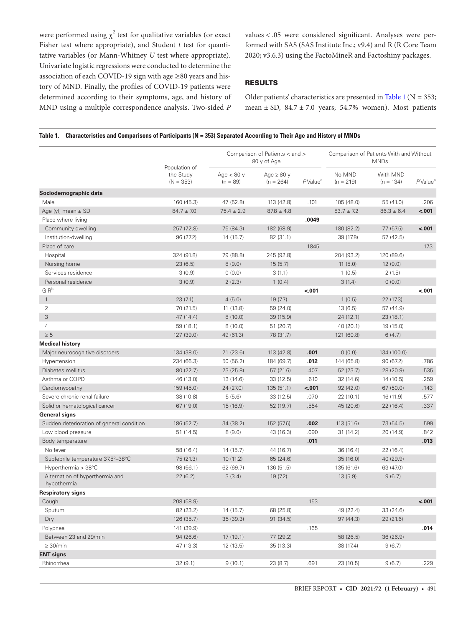were performed using  $\chi^2$  test for qualitative variables (or exact Fisher test where appropriate), and Student *t* test for quantitative variables (or Mann-Whitney *U* test where appropriate). Univariate logistic regressions were conducted to determine the association of each COVID-19 sign with age  $\geq$ 80 years and history of MND. Finally, the profiles of COVID-19 patients were determined according to their symptoms, age, and history of MND using a multiple correspondence analysis. Two-sided *P*

values < .05 were considered significant. Analyses were performed with SAS (SAS Institute Inc.; v9.4) and R (R Core Team 2020; v3.6.3) using the FactoMineR and Factoshiny packages.

## RESULTS

Older patients' characteristics are presented in [Table 1](#page-1-0) ( $N = 353$ ; mean  $\pm$  SD, 84.7  $\pm$  7.0 years; 54.7% women). Most patients

#### <span id="page-1-0"></span>**Table 1. Characteristics and Comparisons of Participants (N = 353) Separated According to Their Age and History of MNDs**

|                                                | Population of<br>the Study<br>$(N = 353)$ | Comparison of Patients < and ><br>80 y of Age |                                |                        | Comparison of Patients With and Without<br><b>MNDs</b> |                         |               |
|------------------------------------------------|-------------------------------------------|-----------------------------------------------|--------------------------------|------------------------|--------------------------------------------------------|-------------------------|---------------|
|                                                |                                           | Age $< 80 y$<br>$(n = 89)$                    | Age $\geq 80$ y<br>$(n = 264)$ | $P$ Value <sup>a</sup> | No MND<br>$(n = 219)$                                  | With MND<br>$(n = 134)$ | $P$ Value $a$ |
| Sociodemographic data                          |                                           |                                               |                                |                        |                                                        |                         |               |
| Male                                           | 160 (45.3)                                | 47 (52.8)                                     | 113 (42.8)                     | .101                   | 105 (48.0)                                             | 55 (41.0)               | .206          |
| Age (y), mean $\pm$ SD                         | $84.7 \pm 7.0$                            | $75.4 \pm 2.9$                                | $87.8 \pm 4.8$                 |                        | $83.7 \pm 7.2$                                         | $86.3 \pm 6.4$          | $-.001$       |
| Place where living                             |                                           |                                               |                                | .0049                  |                                                        |                         |               |
| Community-dwelling                             | 257 (72.8)                                | 75 (84.3)                                     | 182 (68.9)                     |                        | 180 (82.2)                                             | 77 (57.5)               | $-.001$       |
| Institution-dwelling                           | 96 (27.2)                                 | 14(15.7)                                      | 82 (31.1)                      |                        | 39 (17.8)                                              | 57 (42.5)               |               |
| Place of care                                  |                                           |                                               |                                | .1845                  |                                                        |                         | .173          |
| Hospital                                       | 324 (91.8)                                | 79 (88.8)                                     | 245 (92.8)                     |                        | 204 (93.2)                                             | 120 (89.6)              |               |
| Nursing home                                   | 23(6.5)                                   | 8(9.0)                                        | 15(5.7)                        |                        | 11(5.0)                                                | 12(9.0)                 |               |
| Services residence                             | 3(0.9)                                    | 0(0.0)                                        | 3(1.1)                         |                        | 1(0.5)                                                 | 2(1.5)                  |               |
| Personal residence                             | 3(0.9)                                    | 2(2.3)                                        | 1(0.4)                         |                        | 3(1.4)                                                 | 0(0.0)                  |               |
| GIRb                                           |                                           |                                               |                                | $-.001$                |                                                        |                         | $-.001$       |
| $\mathbf{1}$                                   | 23(7.1)                                   | 4(5.0)                                        | 19(7.7)                        |                        | 1(0.5)                                                 | 22 (17.3)               |               |
| $\overline{2}$                                 | 70 (21.5)                                 | 11 (13.8)                                     | 59 (24.0)                      |                        | 13 (6.5)                                               | 57 (44.9)               |               |
| 3                                              | 47 (14.4)                                 | 8(10.0)                                       | 39 (15.9)                      |                        | 24 (12.1)                                              | 23(18.1)                |               |
| 4                                              | 59 (18.1)                                 | 8(10.0)                                       | 51 (20.7)                      |                        | 40 (20.1)                                              | 19 (15.0)               |               |
| $\geq 5$                                       | 127 (39.0)                                | 49 (61.3)                                     | 78 (31.7)                      |                        | 121 (60.8)                                             | 6(4.7)                  |               |
| <b>Medical history</b>                         |                                           |                                               |                                |                        |                                                        |                         |               |
| Major neurocognitive disorders                 | 134 (38.0)                                | 21 (23.6)                                     | 113 (42.8)                     | .001                   | 0(0.0)                                                 | 134 (100.0)             |               |
| Hypertension                                   | 234 (66.3)                                | 50 (56.2)                                     | 184 (69.7)                     | .012                   | 144 (65.8)                                             | 90 (67.2)               | .786          |
| Diabetes mellitus                              | 80 (22.7)                                 | 23 (25.8)                                     | 57 (21.6)                      | .407                   | 52 (23.7)                                              | 28 (20.9)               | .535          |
| Asthma or COPD                                 | 46 (13.0)                                 | 13 (14.6)                                     | 33 (12.5)                      | .610                   | 32 (14.6)                                              | 14 (10.5)               | .259          |
| Cardiomyopathy                                 | 159 (45.0)                                | 24 (27.0)                                     | 135 (51.1)                     | < .001                 | 92(42.0)                                               | 67 (50.0)               | .143          |
| Severe chronic renal failure                   | 38 (10.8)                                 | 5(5.6)                                        | 33 (12.5)                      | .070                   | 22(10.1)                                               | 16 (11.9)               | .577          |
| Solid or hematological cancer                  | 67 (19.0)                                 | 15 (16.9)                                     | 52 (19.7)                      | .554                   | 45 (20.6)                                              | 22(16.4)                | .337          |
| General signs                                  |                                           |                                               |                                |                        |                                                        |                         |               |
| Sudden deterioration of general condition      | 186 (52.7)                                | 34 (38.2)                                     | 152 (57.6)                     | .002                   | 113 (51.6)                                             | 73 (54.5)               | .599          |
| Low blood pressure                             | 51(14.5)                                  | 8(9.0)                                        | 43 (16.3)                      | .090                   | 31(14.2)                                               | 20 (14.9)               | .842          |
| Body temperature                               |                                           |                                               |                                | .011                   |                                                        |                         | .013          |
| No fever                                       | 58 (16.4)                                 | 14(15.7)                                      | 44 (16.7)                      |                        | 36 (16.4)                                              | 22 (16.4)               |               |
| Subfebrile temperature 37.5°-38°C              | 75 (21.3)                                 | 10(11.2)                                      | 65 (24.6)                      |                        | 35(16.0)                                               | 40 (29.9)               |               |
| Hyperthermia > 38°C                            | 198 (56.1)                                | 62 (69.7)                                     | 136 (51.5)                     |                        | 135 (61.6)                                             | 63 (47.0)               |               |
| Alternation of hyperthermia and<br>hypothermia | 22(6.2)                                   | 3(3.4)                                        | 19(7.2)                        |                        | 13(5.9)                                                | 9(6.7)                  |               |
| <b>Respiratory signs</b>                       |                                           |                                               |                                |                        |                                                        |                         |               |
| Cough                                          | 208 (58.9)                                |                                               |                                | .153                   |                                                        |                         | < .001        |
| Sputum                                         | 82 (23.2)                                 | 14 (15.7)                                     | 68 (25.8)                      |                        | 49 (22.4)                                              | 33 (24.6)               |               |
| Dry                                            | 126 (35.7)                                | 35 (39.3)                                     | 91 (34.5)                      |                        | 97 (44.3)                                              | 29 (21.6)               |               |
| Polypnea                                       | 141 (39.9)                                |                                               |                                | .165                   |                                                        |                         | .014          |
| Between 23 and 29/min                          | 94 (26.6)                                 | 17 (19.1)                                     | 77 (29.2)                      |                        | 58 (26.5)                                              | 36 (26.9)               |               |
| $\geq 30/min$                                  |                                           | 12 (13.5)                                     | 35 (13.3)                      |                        |                                                        | 9(6.7)                  |               |
| <b>ENT signs</b>                               | 47 (13.3)                                 |                                               |                                |                        | 38 (17.4)                                              |                         |               |
|                                                |                                           |                                               |                                |                        |                                                        |                         |               |
| Rhinorrhea                                     | 32(9.1)                                   | 9(10.1)                                       | 23 (8.7)                       | .691                   | 23 (10.5)                                              | 9(6.7)                  | .229          |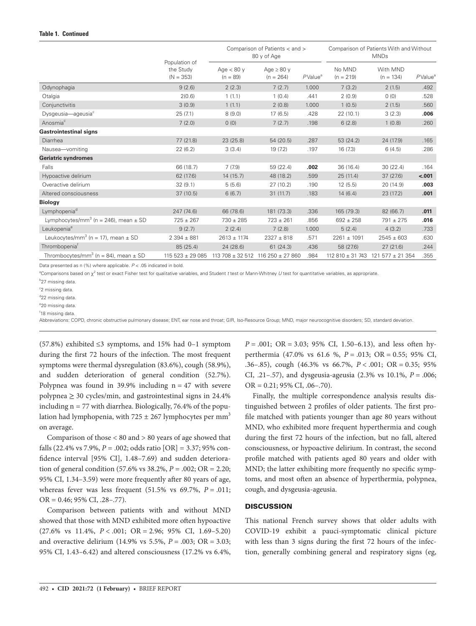|                                                      | Population of<br>the Study<br>$(N = 353)$ | Comparison of Patients < and ><br>80 y of Age |                                         |                        | Comparison of Patients With and Without<br><b>MNDs</b> |                                         |                        |
|------------------------------------------------------|-------------------------------------------|-----------------------------------------------|-----------------------------------------|------------------------|--------------------------------------------------------|-----------------------------------------|------------------------|
|                                                      |                                           | Age $< 80 y$<br>$(n = 89)$                    | Age $\geq 80$ y<br>$(n = 264)$          | $P$ Value <sup>a</sup> | No MND<br>$(n = 219)$                                  | With MND<br>$(n = 134)$                 | $P$ Value <sup>a</sup> |
| Odynophagia                                          | 9(2.6)                                    | 2(2.3)                                        | 7(2.7)                                  | 1.000                  | 7(3.2)                                                 | 2(1.5)                                  | .492                   |
| Otalgia                                              | 2(0.6)                                    | 1(1.1)                                        | 1(0.4)                                  | .441                   | 2(0.9)                                                 | 0(0)                                    | .528                   |
| Conjunctivitis                                       | 3(0.9)                                    | 1(1.1)                                        | 2(0.8)                                  | 1.000                  | 1(0.5)                                                 | 2(1.5)                                  | .560                   |
| Dysgeusia-ageusia <sup>c</sup>                       | 25(7.1)                                   | 8(9.0)                                        | 17(6.5)                                 | .428                   | 22(10.1)                                               | 3(2.3)                                  | .006                   |
| Anosmia <sup>c</sup>                                 | 7(2.0)                                    | 0(0)                                          | 7(2.7)                                  | .198                   | 6(2.8)                                                 | 1(0.8)                                  | .260                   |
| <b>Gastrointestinal signs</b>                        |                                           |                                               |                                         |                        |                                                        |                                         |                        |
| Diarrhea                                             | 77 (21.8)                                 | 23(25.8)                                      | 54(20.5)                                | .287                   | 53(24.2)                                               | 24 (17.9)                               | .165                   |
| Nausea-vomiting                                      | 22(6.2)                                   | 3(3.4)                                        | 19(7.2)                                 | .197                   | 16(7.3)                                                | 6(4.5)                                  | .286                   |
| <b>Geriatric syndromes</b>                           |                                           |                                               |                                         |                        |                                                        |                                         |                        |
| Falls                                                | 66 (18.7)                                 | 7(7.9)                                        | 59 (22.4)                               | .002                   | 36 (16.4)                                              | 30(22.4)                                | .164                   |
| Hypoactive delirium                                  | 62 (17.6)                                 | 14(15.7)                                      | 48 (18.2)                               | .599                   | 25(11.4)                                               | 37 (27.6)                               | $-.001$                |
| Overactive delirium                                  | 32(9.1)                                   | 5(5.6)                                        | 27(10.2)                                | .190                   | 12(5.5)                                                | 20(14.9)                                | .003                   |
| Altered consciousness                                | 37(10.5)                                  | 6(6.7)                                        | 31(11.7)                                | .183                   | 14(6.4)                                                | 23 (17.2)                               | .001                   |
| <b>Biology</b>                                       |                                           |                                               |                                         |                        |                                                        |                                         |                        |
| Lymphopenia <sup>d</sup>                             | 247 (74.6)                                | 66 (78.6)                                     | 181 (73.3)                              | .336                   | 165 (79.3)                                             | 82 (66.7)                               | .011                   |
| Lymphocytes/mm <sup>3</sup> (n = 246), mean $\pm$ SD | $725 \pm 267$                             | $730 \pm 285$                                 | $723 \pm 261$                           | .856                   | $692 \pm 258$                                          | $791 \pm 275$                           | .016                   |
| Leukopenia <sup>e</sup>                              | 9(2.7)                                    | 2(2.4)                                        | 7(2.8)                                  | 1.000                  | 5(2.4)                                                 | 4(3.2)                                  | .733                   |
| Leukocytes/mm <sup>3</sup> (n = 17), mean $\pm$ SD   | $2394 \pm 881$                            | $2613 \pm 1174$                               | $2327 \pm 818$                          | .571                   | $2261 \pm 1091$                                        | $2545 \pm 603$                          | .630                   |
| Thrombopenia <sup>t</sup>                            | 85 (25.4)                                 | 24 (28.6)                                     | 61(24.3)                                | .436                   | 58 (27.6)                                              | 27(21.6)                                | .244                   |
| Thrombocytes/mm <sup>3</sup> (n = 84), mean $\pm$ SD | $115523 \pm 29085$                        |                                               | $113708 \pm 32512$ 116 250 $\pm$ 27 860 | .984                   |                                                        | $112810 \pm 31743$ 121 577 $\pm$ 21 354 | .355                   |

Data presented as n (%) where applicable. *P* < .05 indicated in bold.

<sup>a</sup>Comparisons based on χ<sup>2</sup> test or exact Fisher test for qualitative variables, and Student *t* test or Mann-Whitney *U* test for quantitative variables, as appropriate.

b 27 missing data.

<sup>c</sup>2 missing data.

<sup>d</sup>22 missing data.

e 20 missing data. f 18 missing data.

Abbreviations: COPD, chronic obstructive pulmonary disease; ENT, ear nose and throat; GIR, Iso-Resource Group; MND, major neurocognitive disorders; SD, standard deviation.

(57.8%) exhibited  $\leq$ 3 symptoms, and 15% had 0–1 symptom during the first 72 hours of the infection. The most frequent symptoms were thermal dysregulation (83.6%), cough (58.9%), and sudden deterioration of general condition (52.7%). Polypnea was found in 39.9% including  $n = 47$  with severe polypnea  $\geq$  30 cycles/min, and gastrointestinal signs in 24.4% including  $n = 77$  with diarrhea. Biologically, 76.4% of the population had lymphopenia, with 725  $\pm$  267 lymphocytes per mm<sup>3</sup> on average.

Comparison of those < 80 and > 80 years of age showed that falls (22.4% vs 7.9%,  $P = .002$ ; odds ratio [OR] = 3.37; 95% confidence interval [95% CI], 1.48–7.69) and sudden deterioration of general condition (57.6% vs 38.2%, *P* = .002; OR = 2.20; 95% CI, 1.34–3.59) were more frequently after 80 years of age, whereas fever was less frequent (51.5% vs 69.7%, *P* = .011; OR = 0.46; 95% CI, .28–.77).

Comparison between patients with and without MND showed that those with MND exhibited more often hypoactive (27.6% vs 11.4%, *P* < .001; OR = 2.96; 95% CI, 1.69–5.20) and overactive delirium (14.9% vs 5.5%, *P* = .003; OR = 3.03; 95% CI, 1.43–6.42) and altered consciousness (17.2% vs 6.4%,

*P* = .001; OR = 3.03; 95% CI, 1.50–6.13), and less often hyperthermia (47.0% vs 61.6 %, *P* = .013; OR = 0.55; 95% CI, .36–.85), cough (46.3% vs 66.7%, *P* < .001; OR = 0.35; 95% CI, .21–.57), and dysgeusia-ageusia (2.3% vs 10.1%, *P* = .006; OR = 0.21; 95% CI, .06–.70).

Finally, the multiple correspondence analysis results distinguished between 2 profiles of older patients. The first profile matched with patients younger than age 80 years without MND, who exhibited more frequent hyperthermia and cough during the first 72 hours of the infection, but no fall, altered consciousness, or hypoactive delirium. In contrast, the second profile matched with patients aged 80 years and older with MND; the latter exhibiting more frequently no specific symptoms, and most often an absence of hyperthermia, polypnea, cough, and dysgeusia-ageusia.

### **DISCUSSION**

This national French survey shows that older adults with COVID-19 exhibit a pauci-symptomatic clinical picture with less than 3 signs during the first 72 hours of the infection, generally combining general and respiratory signs (eg,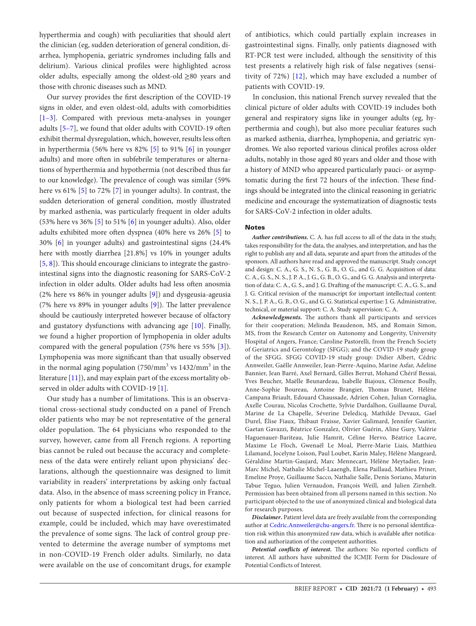hyperthermia and cough) with peculiarities that should alert the clinician (eg, sudden deterioration of general condition, diarrhea, lymphopenia, geriatric syndromes including falls and delirium). Various clinical profiles were highlighted across older adults, especially among the oldest-old ≥80 years and those with chronic diseases such as MND.

Our survey provides the first description of the COVID-19 signs in older, and even oldest-old, adults with comorbidities [\[1–](#page-4-0)[3](#page-4-1)]. Compared with previous meta-analyses in younger adults [[5](#page-4-3)[–7\]](#page-4-4), we found that older adults with COVID-19 often exhibit thermal dysregulation, which, however, results less often in hyperthermia (56% here vs 82% [[5](#page-4-3)] to 91% [\[6\]](#page-4-5) in younger adults) and more often in subfebrile temperatures or alternations of hyperthermia and hypothermia (not described thus far to our knowledge). The prevalence of cough was similar (59% here vs 61% [[5\]](#page-4-3) to 72% [\[7\]](#page-4-4) in younger adults). In contrast, the sudden deterioration of general condition, mostly illustrated by marked asthenia, was particularly frequent in older adults (53% here vs 36% [\[5\]](#page-4-3) to 51% [\[6\]](#page-4-5) in younger adults). Also, older adults exhibited more often dyspnea (40% here vs 26% [\[5\]](#page-4-3) to 30% [\[6\]](#page-4-5) in younger adults) and gastrointestinal signs (24.4% here with mostly diarrhea [21.8%] vs 10% in younger adults [\[5,](#page-4-3) [8\]](#page-4-6)). This should encourage clinicians to integrate the gastrointestinal signs into the diagnostic reasoning for SARS-CoV-2 infection in older adults. Older adults had less often anosmia (2% here vs 86% in younger adults [\[9\]](#page-4-7)) and dysgeusia-ageusia (7% here vs 89% in younger adults [\[9\]](#page-4-7)). The latter prevalence should be cautiously interpreted however because of olfactory and gustatory dysfunctions with advancing age [\[10](#page-4-8)]. Finally, we found a higher proportion of lymphopenia in older adults compared with the general population (75% here vs 55% [[3](#page-4-1)]). Lymphopenia was more significant than that usually observed in the normal aging population (750/mm<sup>3</sup> vs  $1432/\text{mm}^3$  in the literature [[11\]](#page-4-9)), and may explain part of the excess mortality observed in older adults with COVID-19 [\[1\]](#page-4-0).

Our study has a number of limitations. This is an observational cross-sectional study conducted on a panel of French older patients who may be not representative of the general older population. The 64 physicians who responded to the survey, however, came from all French regions. A reporting bias cannot be ruled out because the accuracy and completeness of the data were entirely reliant upon physicians' declarations, although the questionnaire was designed to limit variability in readers' interpretations by asking only factual data. Also, in the absence of mass screening policy in France, only patients for whom a biological test had been carried out because of suspected infection, for clinical reasons for example, could be included, which may have overestimated the prevalence of some signs. The lack of control group prevented to determine the average number of symptoms met in non-COVID-19 French older adults. Similarly, no data were available on the use of concomitant drugs, for example of antibiotics, which could partially explain increases in gastrointestinal signs. Finally, only patients diagnosed with RT-PCR test were included, although the sensitivity of this test presents a relatively high risk of false negatives (sensitivity of 72%) [\[12\]](#page-4-10), which may have excluded a number of patients with COVID-19.

In conclusion, this national French survey revealed that the clinical picture of older adults with COVID-19 includes both general and respiratory signs like in younger adults (eg, hyperthermia and cough), but also more peculiar features such as marked asthenia, diarrhea, lymphopenia, and geriatric syndromes. We also reported various clinical profiles across older adults, notably in those aged 80 years and older and those with a history of MND who appeared particularly pauci- or asymptomatic during the first 72 hours of the infection. These findings should be integrated into the clinical reasoning in geriatric medicine and encourage the systematization of diagnostic tests for SARS-CoV-2 infection in older adults.

#### Notes

*Author contributions.* C. A. has full access to all of the data in the study, takes responsibility for the data, the analyses, and interpretation, and has the right to publish any and all data, separate and apart from the attitudes of the sponsors. All authors have read and approved the manuscript. Study concept and design: C. A., G. S., N. S., G. B., O. G., and G. G. Acquisition of data: C. A., G. S., N. S., J. P. A., J. G., G. B., O. G., and G. G. Analysis and interpretation of data: C. A., G. S., and J. G. Drafting of the manuscript: C. A., G. S., and J. G. Critical revision of the manuscript for important intellectual content: N. S., J. P. A., G. B., O. G., and G. G. Statistical expertise: J. G. Administrative, technical, or material support: C. A. Study supervision: C. A.

*Acknowledgments.* The authors thank all participants and services for their cooperation; Melinda Beaudenon, MS, and Romain Simon, MS, from the Research Center on Autonomy and Longevity, University Hospital of Angers, France; Caroline Pastorelli, from the French Society of Geriatrics and Gerontology (SFGG); and the COVID-19 study group of the SFGG. SFGG COVID-19 study group: Didier Albert, Cédric Annweiler, Gaëlle Annweiler, Jean-Pierre-Aquino, Marine Asfar, Adeline Bannier, Jean Barré, Axel Bernard, Gilles Berrut, Mohand Chérif Bessai, Yves Beucher, Maëlle Beunardeau, Isabelle Biajoux, Clémence Boully, Anne-Sophie Boureau, Antoine Brangier, Thomas Brunet, Hélène Campana Briault, Edouard Chaussade, Adrien Cohen, Julian Cornaglia, Axelle Courau, Nicolas Crochette, Sylvie Dardalhon, Guillaume Duval, Marine de La Chapelle, Séverine Deledicq, Mathilde Devaux, Gael Durel, Élise Fiaux, Thibaut Fraisse, Xavier Galimard, Jennifer Gautier, Gaetan Gavazzi, Béatrice Gonzalez, Olivier Guérin, Aline Gury, Valérie Haguenauer-Bariteau, Julie Hamrit, Céline Hervo, Béatrice Lacave, Maxime Le Floch, Gwenaël Le Moal, Pierre-Marie Liais, Matthieu Lilamand, Jocelyne Loison, Paul Loubet, Karin Maley, Hélène Mangeard, Géraldine Martin-Gaujard, Marc Mennecart, Hélène Meytadier, Jean-Marc Michel, Nathalie Michel-Laaengh, Elena Paillaud, Mathieu Priner, Emeline Proye, Guillaume Sacco, Nathalie Salle, Denis Soriano, Maturin Tabue Teguo, Julien Vernaudon, François Weill, and Julien Zirnhelt. Permission has been obtained from all persons named in this section. No participant objected to the use of anonymized clinical and biological data for research purposes.

*Disclaimer***.** Patient level data are freely available from the corresponding author at [Cedric.Annweiler@chu-angers.fr.](mailto:Cedric.Annweiler@chu-angers.fr?subject=) There is no personal identification risk within this anonymized raw data, which is available after notification and authorization of the competent authorities.

*Potential conflicts of interest.* The authors: No reported conflicts of interest. All authors have submitted the ICMJE Form for Disclosure of Potential Conflicts of Interest.